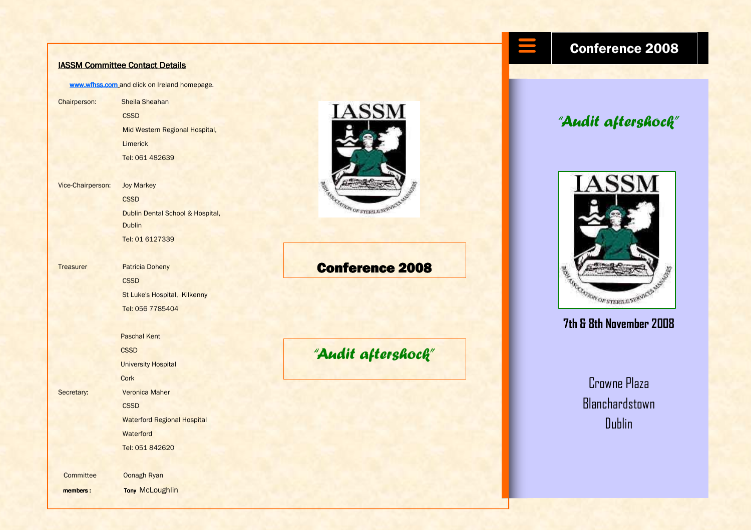#### IASSM Committee Contact Details

www.wfhss.com and click on Ireland homepage.

Chairperson: Sheila Sheahan **CSSD**  Mid Western Regional Hospital, Limerick Tel: 061 482639

Vice-Chairperson: Joy Markey

**CSSD**  Dublin Dental School & Hospital, **Dublin** Tel: 01 6127339

Treasurer Patricia Doheny **CSSD**  St Luke's Hospital, Kilkenny Tel: 056 7785404

 Paschal Kent **CSSD**  University Hospital **Cork** Secretary: **Veronica Maher CSSD**  Waterford Regional Hospital **Waterford** Tel: 051 842620

Committee Oonagh Ryan

members: Tony McLoughlin



#### Conference 2008

## "Audit aftershock"

#### Conference 2008

## "Audit aftershock"



#### 7th & 8th November 2008

Crowne Plaza **Blanchardstown** Dublin